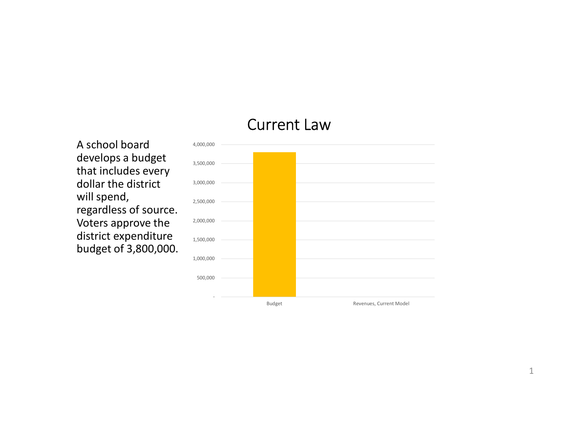### Current Law

A school board develops a budget that includes every dollar the district will spend, regardless of source. Voters approve the district expenditure budget of 3,800,000.

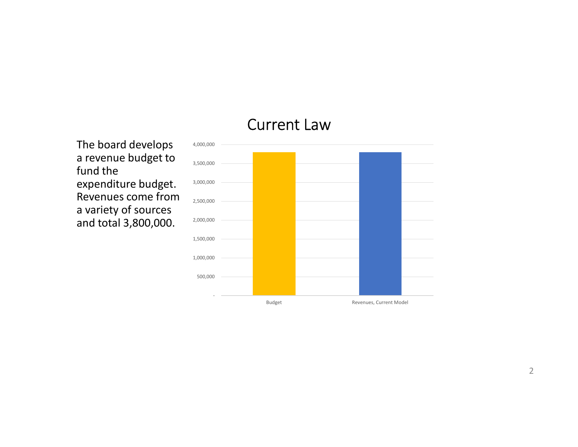### Current Law

The board develops a revenue budget to fund the expenditure budget. Revenues come from a variety of sources and total 3,800,000.

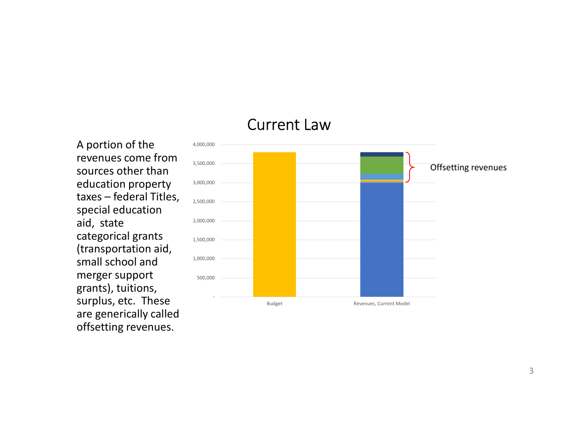### Current Law

A portion of the revenues come from sources other than education property special education aid, state categorical grants (transportation aid, small school and merger support grants), tuitions, surplus, etc. These are generically called offsetting revenues.

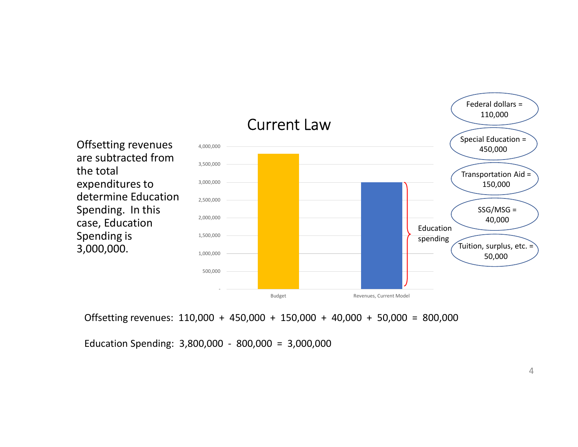

Offsetting revenues: 110,000 + 450,000 + 150,000 + 40,000 + 50,000 = 800,000

4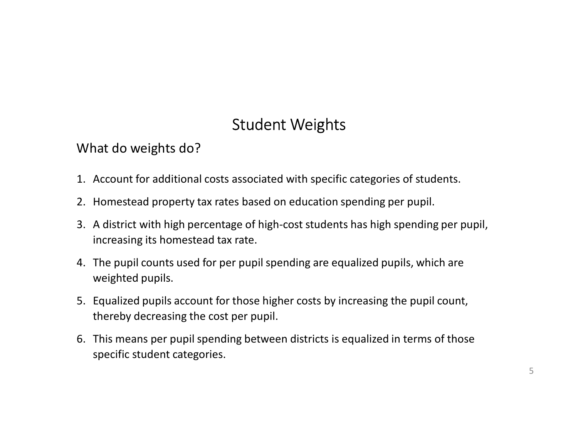# Student Weights

What do weights do?

- 
- 
- 1. Account for additional costs associated with specific categories of students.<br>1. Account for additional costs associated with specific categories of students.<br>2. Homestead property tax rates based on education spending 2. Student Weights<br>2. Homestead property tax rates based on education spending per pupil.<br>2. Homestead property tax rates based on education spending per pupil.<br>3. A district with high percentage of high-cost students has 3. A district with high percentage of high-cost students has high specific attents.<br>3. A district with high percentage of high-cost students has high spending per pupil,<br>3. A district with high percentage of high-cost stud increasing its homestead tax rate. 5. Student Weights<br>1. Account for additional costs associated with specific categories of students.<br>2. Homestead property tax rates based on education spending per pupil.<br>3. A district with high percentage of high-cost stu 5. Student Weights<br>
5. What do weights do?<br>
1. Account for additional costs associated with specific categories of students.<br>
2. Homestead property tax rates based on education spending per pupil.<br>
3. A district with high 1. Account for additional costs associated with specific categories of students.<br>
2. Homestead property tax rates based on education spending per pupil.<br>
3. A district with high percentage of high-cost students has high sp
- weighted pupils.
- thereby decreasing the cost per pupil.
- specific student categories.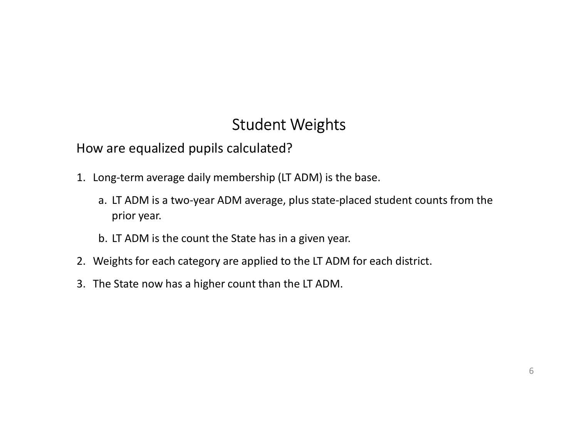## Student Weights

How are equalized pupils calculated?

- 
- Student Weights<br>
1. Long-term average daily membership (LT ADM) is the base.<br>
2. Long-term average daily membership (LT ADM) is the base.<br>
2. LT ADM is a two-year ADM average, plus state-placed student coun<br>
prior year. Student Weights<br>
v are equalized pupils calculated?<br>
ong-term average daily membership (LT ADM) is the base.<br>
a. LT ADM is a two-year ADM average, plus state-placed student counts from the<br>
prior year.<br>
b. LT ADM is the co prior year. Student Weights<br>
v are equalized pupils calculated?<br>
ong-term average daily membership (LT ADM) is the base.<br>
a. LT ADM is a two-year ADM average, plus state-placed studen<br>
prior year.<br>
b. LT ADM is the count the State has 2. How are equalized pupils calculated?<br>2. Long-term average daily membership (LT ADM) is the base.<br>2. LT ADM is a two-year ADM average, plus state-placed student counts from the<br>prior year.<br>2. Weights for each category ar Student Weights<br>3. How are equalized pupils calculated?<br>3. Long-term average daily membership (LT ADM) is the base.<br>3. LT ADM is a two-year ADM average, plus state-placed stude<br>prior year.<br>3. LT ADM is the count the State
	-
- 
-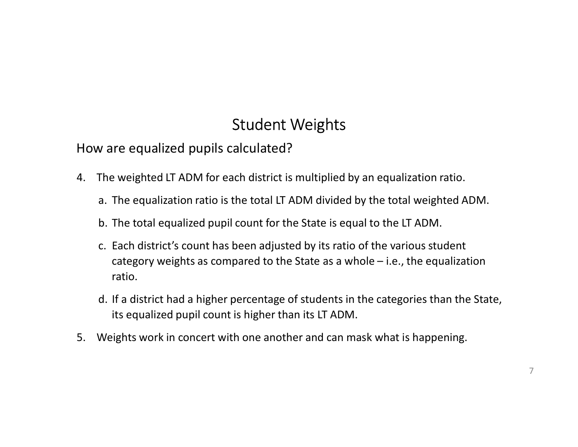# Student Weights

How are equalized pupils calculated?

- 4. The weighted LT ADM for each district is multiplied by an equalization ratio.
	-
	-
- Student Weights<br>The weighted LT ADM for each district is multiplied by an equalization ratio.<br>The weighted LT ADM for each district is multiplied by an equalization ratio.<br>The total equalization ratio is the total LT ADM d Student Weights<br>
Student Weights<br>
The weighted LT ADM for each district is multiplied by an equalization ratio.<br>
The equalization ratio is the total LT ADM divided by the total weighted ADM.<br>
b. The total equalized pupil c Student Weights<br>
vare equalized pupils calculated?<br>
The weighted LT ADM for each district is multiplied by an equalization ratio.<br>
a. The equalization ratio is the total LT ADM divided by the total weighted ADM.<br>
b. The to Student Weights<br>
re equalized pupils calculated?<br>
e weighted LT ADM for each district is multiplied by an equalization ratio.<br>
The equalization ratio is the total LT ADM divided by the total weighted ADM.<br>
The total equali ratio. Student Weights<br>The weighted LT ADM for each district is multiplied by an equalization ratio.<br>The weighted LT ADM for each district is multiplied by an equalization ratio.<br>a. The equalization ratio is the total LT ADM divi
	- its equalized pupil count is higher than its LT ADM.
- 5. Weights work in concert with one another and can mask what is happening.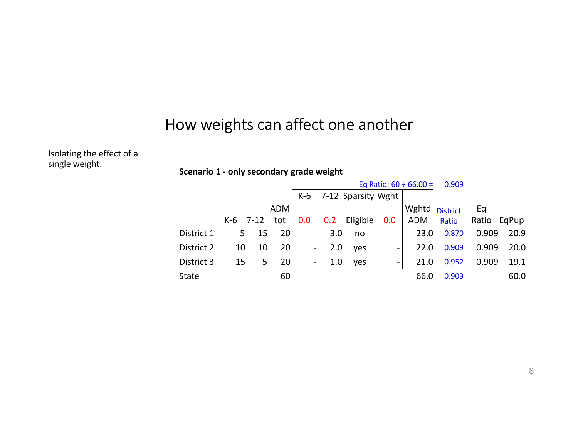### How weights can affect one another

Isolating the effect of a single weight.

Weights can affect one another<br>
ario 1 - only secondary grade weight<br>  $\frac{Eq (Ratio: 60 + 66.00 = 0.909)}{ADM}$ OW Weights can affect one another<br>Scenario 1 - only secondary grade weight<br> $\frac{Eq \text{ Ratio: } 60 \div 66.00}{ADM} = \frac{0.909}{ADM}$ <br>K-6 7-12 tot 0.0 0.2 Eligible 0.0 ADM Ratio Eq Ratio:  $60 \div 66.00 = 0.909$ Fect one another<br>
ade weight<br>  $\frac{\text{Eq Ratio: } 60 + 66.00}{\text{K-6}} = \frac{0.909}{0.909}$ <br>  $\frac{\text{K-6}}{2} = \frac{7-12}{12}$  Sparsity Wght<br>  $\frac{\text{Wghtd}}{\text{Wghtd}} = \frac{0.0 \text{ ADM Ratio Ratio EqPup}}{23.0 \text{ A} \cdot \text{Ratio}} = \frac{2.0 \text{ A} \cdot \text{A}}{22.0 \text{ A} \cdot \text{A}} = \frac{2.0 \$ ghts can affect one another<br>
only secondary grade weight<br>
Eq Ratio: 60 ÷ 66.00 = 0.909<br>
K-6 7-12 tot 0.0 0.2 Eligible 0.0 ADM Ratio Ratio<br>
5 15 20 - 3.0 no - 23.0 0.870 0.9<br>
10 10 20 - 2.0 yes - 22.0 0.909 0.9<br>
15 5 20 - ADM and the set of  $\sim$   $\sim$  Wghtd  $_{\rm District}$  and Eq. and Eq. and Eq. and Eq. and Eq. is respectively. 1 a a different contract one and the response to the test of the space of the control of the contract of the contract of the contract of the contract of the contract of the contract of the contract of the contract of the ADM Ratio Ratio EqPup Eq Eq<br>
Ratio EqPup<br>
0.909 20.9<br>
0.909 20.0<br>
0.909 19.1 How weights can affect one another<br>
Scenario 1 - only secondary grade weight<br>  $\frac{100 \text{ N} \times 6 \text{ J} - 7-12 \text{ Sparsity Wight}}{100 \text{ N} \times 6 \text{ J} - 7-12 \text{ Sparsity Wight}}$ <br>  $\frac{100 \text{ N} \times 6 \text{ J} - 7-12 \text{ Sparsity Wight}}{100 \text{ J} - 7-12 \text{ J}} = \frac{100 \text{ N} \times 6 \text$ How weights can affect one another<br>
Scenario 1 - only secondary grade weight<br>  $\begin{array}{r}\n\text{K-6} & 7-12 \text{ |Sparstiv Wight}\n\end{array}$ <br>  $\begin{array}{r}\n\text{K-6} & 7-12 \text{ |Sparstiv Wight}\n\end{array}$ <br>  $\begin{array}{r}\n\text{K-6} & 7-12 \text{ |Sparstiv Wight}\n\end{array}$ <br>  $\begin{array}{r}\n\text{Wghtd District$ 3. **Equation 3 15 20** - 1.0 yes - 21.0 0.952 0.909 19.1 State<br>
3. District 3 15 5 20 - 1.0 yes - 21.0 0.952 0.909<br>
3. District 3 15 20 - 3.0 no<br>
2.0 0.92 19.1 2.20 0.870 0.909 20.0<br>
2.10 0.959 2.00 0.00 2.0 in 2.0 0.99 0. 4. State 60 60 66.0 66.0 0.909 60.0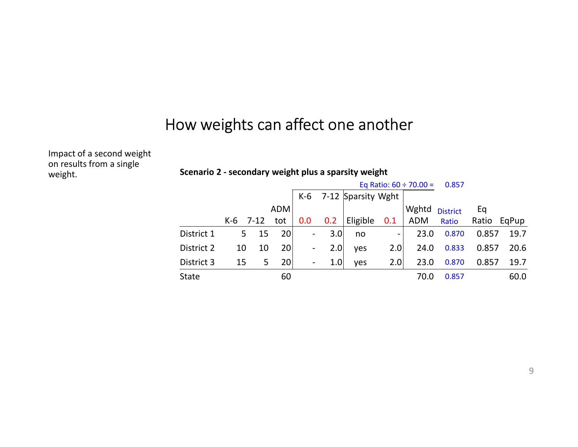## How weights can affect one another

Impact of a second weight on results from a single<br>weight. Scenario 2 - secondary weight plus a sparsity weight weight.

| How weights can affect one another                   |                |        |            |                                  |     |                    |                          |                             |                 |       |              |
|------------------------------------------------------|----------------|--------|------------|----------------------------------|-----|--------------------|--------------------------|-----------------------------|-----------------|-------|--------------|
|                                                      |                |        |            |                                  |     |                    |                          |                             |                 |       |              |
|                                                      |                |        |            |                                  |     |                    |                          |                             |                 |       |              |
|                                                      |                |        |            |                                  |     |                    |                          |                             |                 |       |              |
| Scenario 2 - secondary weight plus a sparsity weight |                |        |            |                                  |     |                    |                          | Eq Ratio: $60 \div 70.00 =$ | 0.857           |       |              |
|                                                      |                |        |            | $K-6$                            |     | 7-12 Sparsity Wght |                          |                             |                 |       |              |
|                                                      |                |        | <b>ADM</b> |                                  |     |                    |                          | Wghtd                       | <b>District</b> | Eq    |              |
|                                                      | $K-6$          | $7-12$ | tot        | 0.0                              | 0.2 | Eligible           | 0.1                      | <b>ADM</b>                  | Ratio           | Ratio | EqPup        |
| District 1                                           | 5 <sup>1</sup> | 15     | 20         | $\blacksquare$                   | 3.0 | no                 | $\overline{\phantom{a}}$ | 23.0                        | 0.870           | 0.857 | 19.7         |
| District 2                                           | 10             | 10     | 20         | $\blacksquare$<br>$\blacksquare$ | 2.0 | yes                | 2.0                      | 24.0                        | 0.833           | 0.857 | 20.6         |
| District 3<br>State                                  | 15             | 5      | 20<br>60   |                                  | 1.0 | yes                | 2.0                      | 23.0<br>70.0                | 0.870<br>0.857  | 0.857 | 19.7<br>60.0 |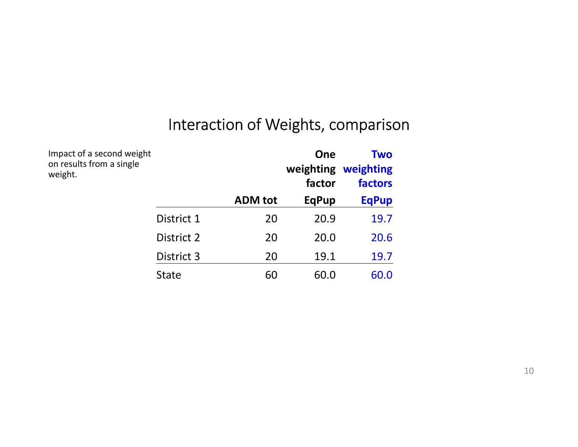# Interaction of Weights, comparison

Impact of a second weight on results from a single weight.

|              | Interaction of Weights, comparison | <b>One</b><br>factor | <b>Two</b><br>weighting weighting<br>factors |
|--------------|------------------------------------|----------------------|----------------------------------------------|
|              | <b>ADM</b> tot                     | <b>EqPup</b>         | <b>EqPup</b>                                 |
| District 1   | 20                                 | 20.9                 | 19.7                                         |
| District 2   | 20                                 | 20.0                 | 20.6                                         |
| District 3   | 20                                 | 19.1                 | 19.7                                         |
| <b>State</b> | 60                                 | 60.0                 | 60.0                                         |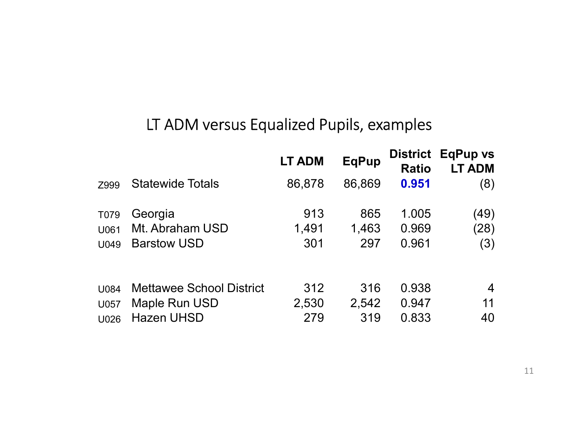# LT ADM versus Equalized Pupils, examples

|              | LT ADM versus Equalized Pupils, examples |               |              |                |                                           |
|--------------|------------------------------------------|---------------|--------------|----------------|-------------------------------------------|
|              |                                          | <b>LT ADM</b> | <b>EqPup</b> | <b>Ratio</b>   | <b>District EqPup vs</b><br><b>LT ADM</b> |
| Z999         | <b>Statewide Totals</b>                  | 86,878        | 86,869       | 0.951          | (8)                                       |
| T079         | Georgia                                  | 913           | 865          | 1.005          | (49)                                      |
| U061<br>U049 | Mt. Abraham USD<br><b>Barstow USD</b>    | 1,491<br>301  | 1,463<br>297 | 0.969<br>0.961 | (28)<br>(3)                               |
| U084         | <b>Mettawee School District</b>          | 312           | 316          | 0.938          | $\overline{4}$                            |
|              |                                          | 2,530         | 2,542        | 0.947          | 11                                        |
| U057         | Maple Run USD                            |               |              |                |                                           |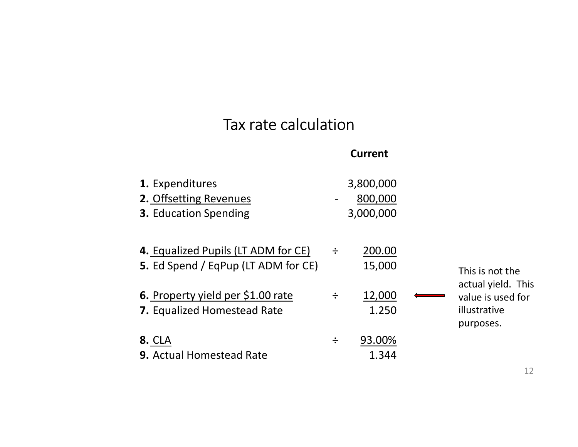# Tax rate calculation

| 1. Expenditures<br>2. Offsetting Revenues<br><b>3. Education Spending</b>  |   | 3,800,000<br>800,000<br>3,000,000 |                                                |
|----------------------------------------------------------------------------|---|-----------------------------------|------------------------------------------------|
| 4. Equalized Pupils (LT ADM for CE)<br>5. Ed Spend / EqPup (LT ADM for CE) | ÷ | 200.00<br>15,000                  | This is not the<br>actual yield. This          |
| 6. Property yield per \$1.00 rate<br>7. Equalized Homestead Rate           | ÷ | 12,000<br>1.250                   | value is used for<br>illustrative<br>purposes. |
| <b>8. CLA</b><br><b>9. Actual Homestead Rate</b>                           | ÷ | 93.00%<br>1.344                   |                                                |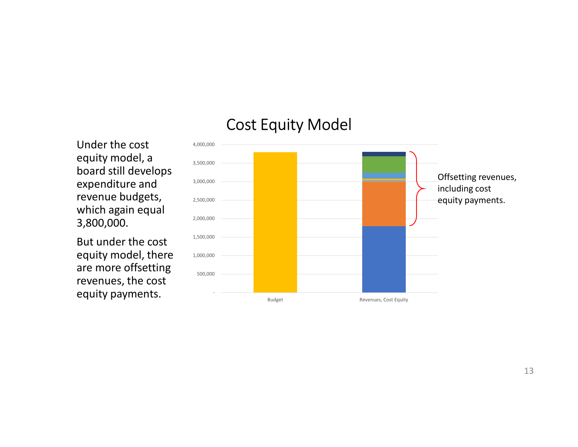## Cost Equity Model

Under the cost equity model, a board still develops expenditure and revenue budgets, which again equal 3,800,000.

But under the cost equity model, there are more offsetting revenues, the cost equity payments.

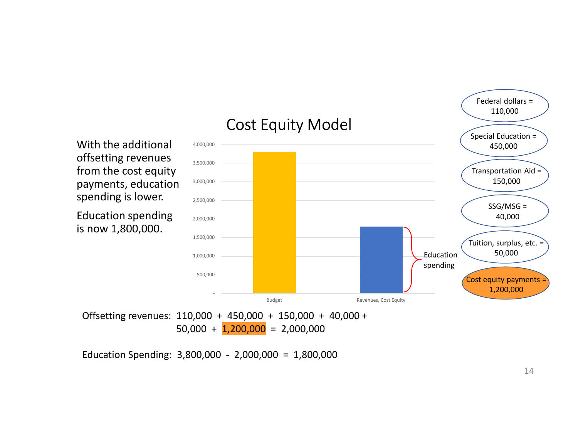

Offsetting revenues: 110,000 + 450,000 + 150,000 + 40,000 +